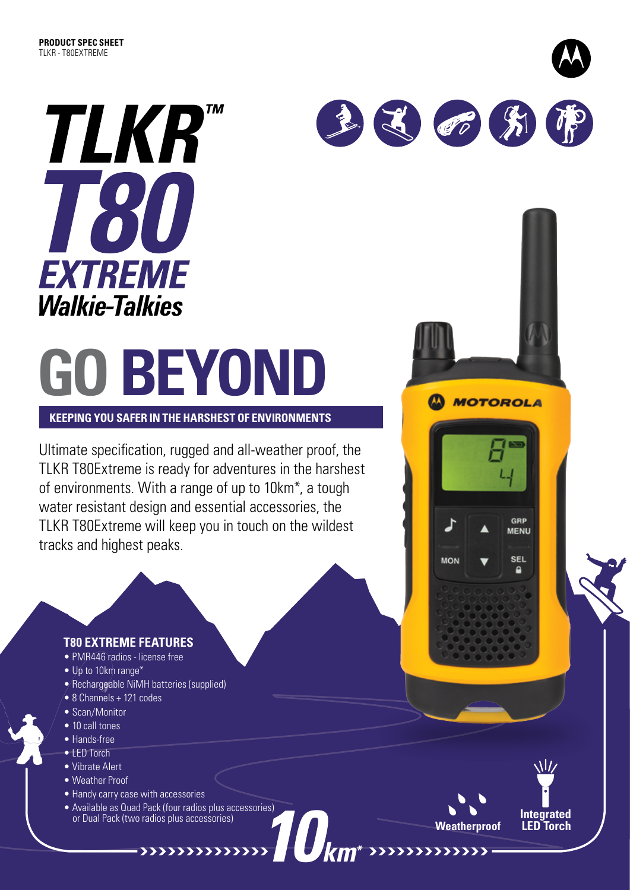

# **GO BEYOND**

**KEEPING YOU SAFER IN THE HARSHEST OF ENVIRONMENTS**

Ultimate specification, rugged and all-weather proof, the TLKR T80Extreme is ready for adventures in the harshest of environments. With a range of up to 10km\*, a tough water resistant design and essential accessories, the TLKR T80Extreme will keep you in touch on the wildest tracks and highest peaks.

#### **T80 EXTREME FEATURES**

- PMR446 radios license free
- Up to 10km range\*
- Rechargeable NiMH batteries (supplied)
- 8 Channels + 121 codes
- Scan/Monitor
- 10 call tones
- Hands-free
- LED Torch
- Vibrate Alert
- Weather Proof
- Handy carry case with accessories
- Available as Quad Pack (four radios plus accessories) or Dual Pack (two radios plus accessories) **Integrated**

**Weatherproof** 

**MOTOROLA** 

GRP **MENU** 

**SEL** 

۵

**MON** 

1 60